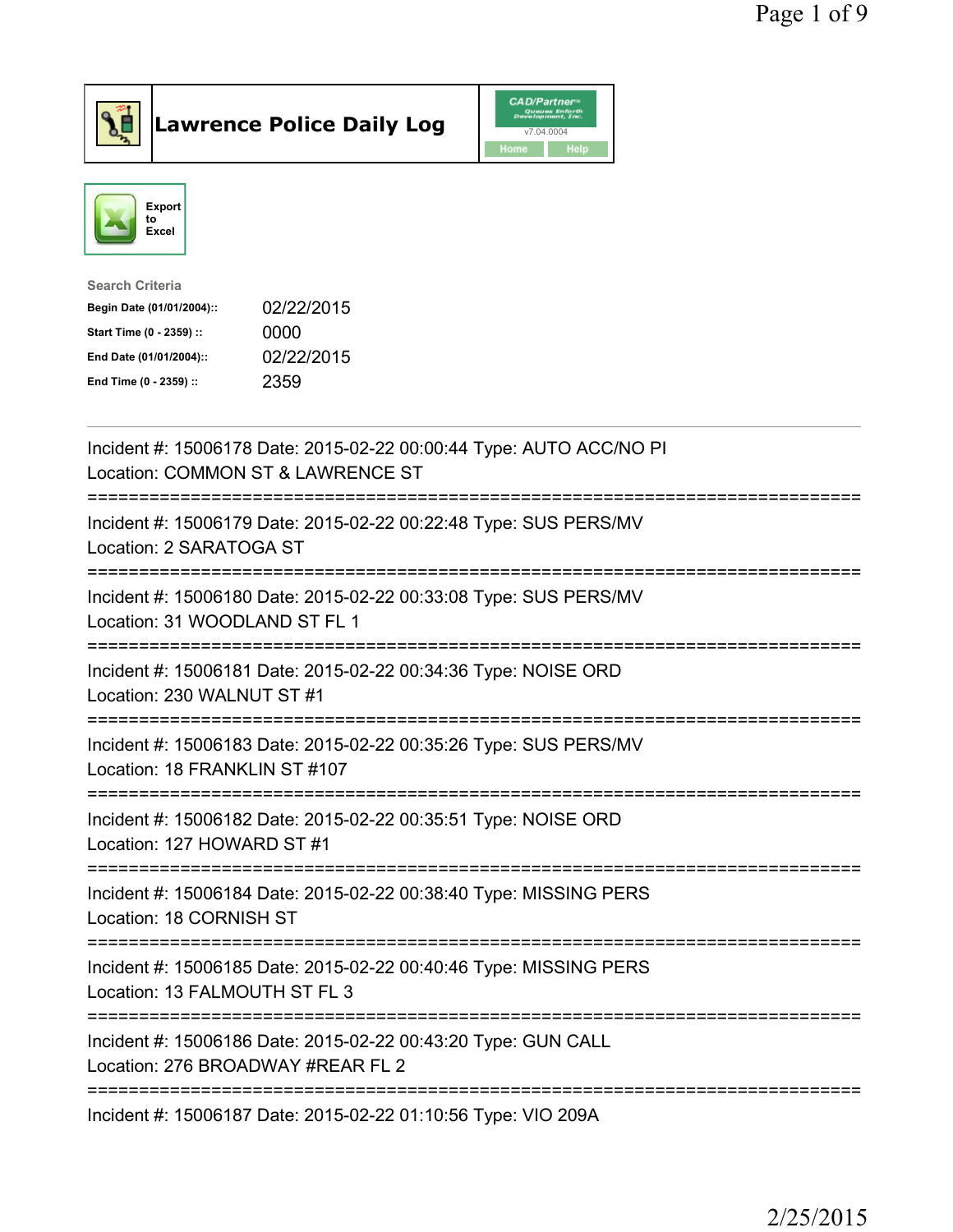



| <b>Search Criteria</b>    |            |
|---------------------------|------------|
| Begin Date (01/01/2004):: | 02/22/2015 |
| Start Time (0 - 2359) ::  | 0000       |
| End Date (01/01/2004)::   | 02/22/2015 |
| End Time (0 - 2359) ::    | 2359       |
|                           |            |

| Incident #: 15006178 Date: 2015-02-22 00:00:44 Type: AUTO ACC/NO PI<br>Location: COMMON ST & LAWRENCE ST              |
|-----------------------------------------------------------------------------------------------------------------------|
| Incident #: 15006179 Date: 2015-02-22 00:22:48 Type: SUS PERS/MV<br>Location: 2 SARATOGA ST                           |
| Incident #: 15006180 Date: 2015-02-22 00:33:08 Type: SUS PERS/MV<br>Location: 31 WOODLAND ST FL 1                     |
| Incident #: 15006181 Date: 2015-02-22 00:34:36 Type: NOISE ORD<br>Location: 230 WALNUT ST #1<br>-------------         |
| Incident #: 15006183 Date: 2015-02-22 00:35:26 Type: SUS PERS/MV<br>Location: 18 FRANKLIN ST #107                     |
| Incident #: 15006182 Date: 2015-02-22 00:35:51 Type: NOISE ORD<br>Location: 127 HOWARD ST #1                          |
| Incident #: 15006184 Date: 2015-02-22 00:38:40 Type: MISSING PERS<br>Location: 18 CORNISH ST<br>===================== |
| Incident #: 15006185 Date: 2015-02-22 00:40:46 Type: MISSING PERS<br>Location: 13 FALMOUTH ST FL 3                    |
| Incident #: 15006186 Date: 2015-02-22 00:43:20 Type: GUN CALL<br>Location: 276 BROADWAY #REAR FL 2                    |
| Incident #: 15006187 Date: 2015-02-22 01:10:56 Type: VIO 209A                                                         |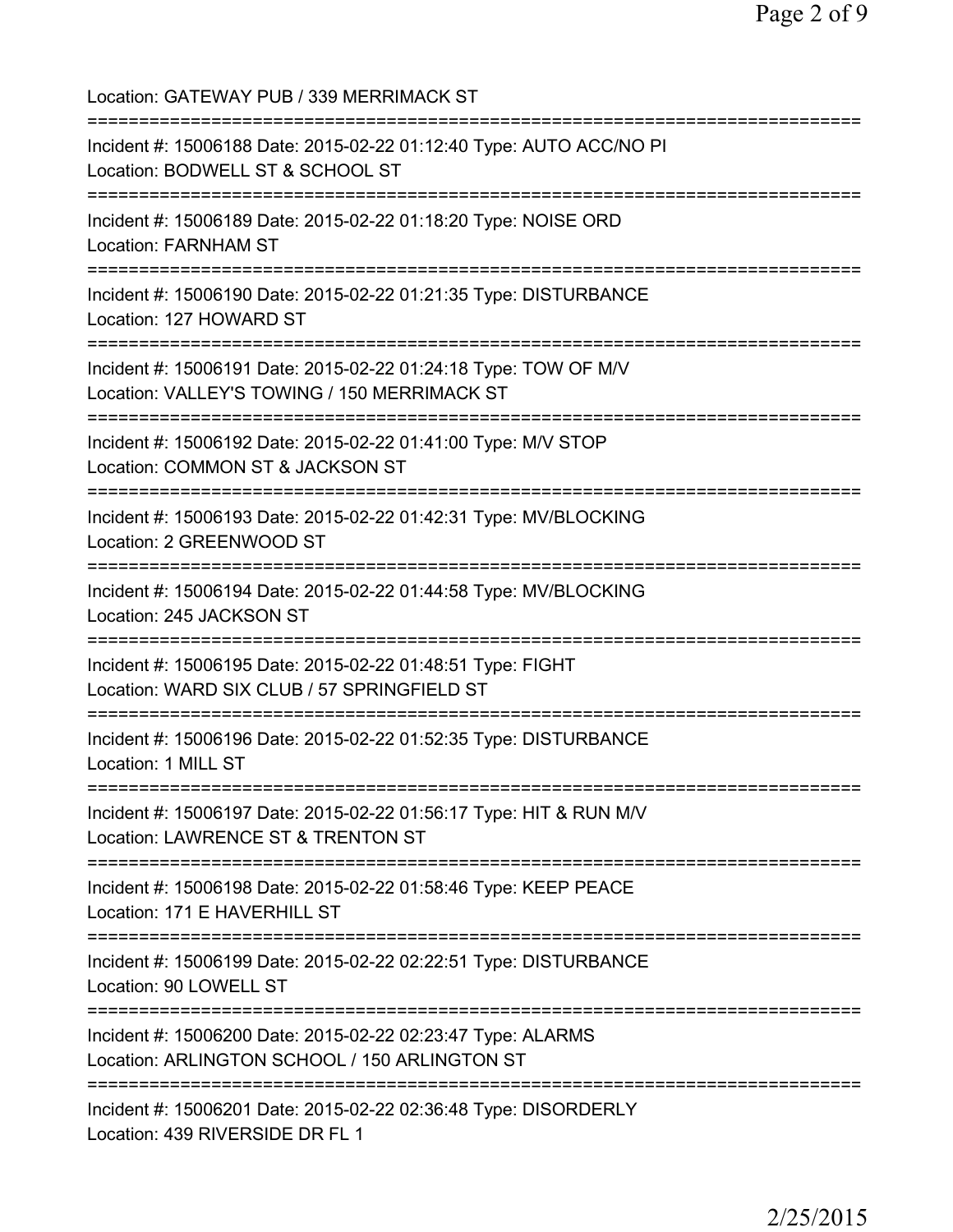Location: GATEWAY PUB / 339 MERRIMACK ST =========================================================================== Incident #: 15006188 Date: 2015-02-22 01:12:40 Type: AUTO ACC/NO PI Location: BODWELL ST & SCHOOL ST =========================================================================== Incident #: 15006189 Date: 2015-02-22 01:18:20 Type: NOISE ORD Location: FARNHAM ST =========================================================================== Incident #: 15006190 Date: 2015-02-22 01:21:35 Type: DISTURBANCE Location: 127 HOWARD ST =========================================================================== Incident #: 15006191 Date: 2015-02-22 01:24:18 Type: TOW OF M/V Location: VALLEY'S TOWING / 150 MERRIMACK ST =========================================================================== Incident #: 15006192 Date: 2015-02-22 01:41:00 Type: M/V STOP Location: COMMON ST & JACKSON ST =========================================================================== Incident #: 15006193 Date: 2015-02-22 01:42:31 Type: MV/BLOCKING Location: 2 GREENWOOD ST =========================================================================== Incident #: 15006194 Date: 2015-02-22 01:44:58 Type: MV/BLOCKING Location: 245 JACKSON ST =========================================================================== Incident #: 15006195 Date: 2015-02-22 01:48:51 Type: FIGHT Location: WARD SIX CLUB / 57 SPRINGFIELD ST =========================================================================== Incident #: 15006196 Date: 2015-02-22 01:52:35 Type: DISTURBANCE Location: 1 MILL ST =========================================================================== Incident #: 15006197 Date: 2015-02-22 01:56:17 Type: HIT & RUN M/V Location: LAWRENCE ST & TRENTON ST =========================================================================== Incident #: 15006198 Date: 2015-02-22 01:58:46 Type: KEEP PEACE Location: 171 E HAVERHILL ST =========================================================================== Incident #: 15006199 Date: 2015-02-22 02:22:51 Type: DISTURBANCE Location: 90 LOWELL ST =========================================================================== Incident #: 15006200 Date: 2015-02-22 02:23:47 Type: ALARMS Location: ARLINGTON SCHOOL / 150 ARLINGTON ST =========================================================================== Incident #: 15006201 Date: 2015-02-22 02:36:48 Type: DISORDERLY Location: 439 RIVERSIDE DR FL 1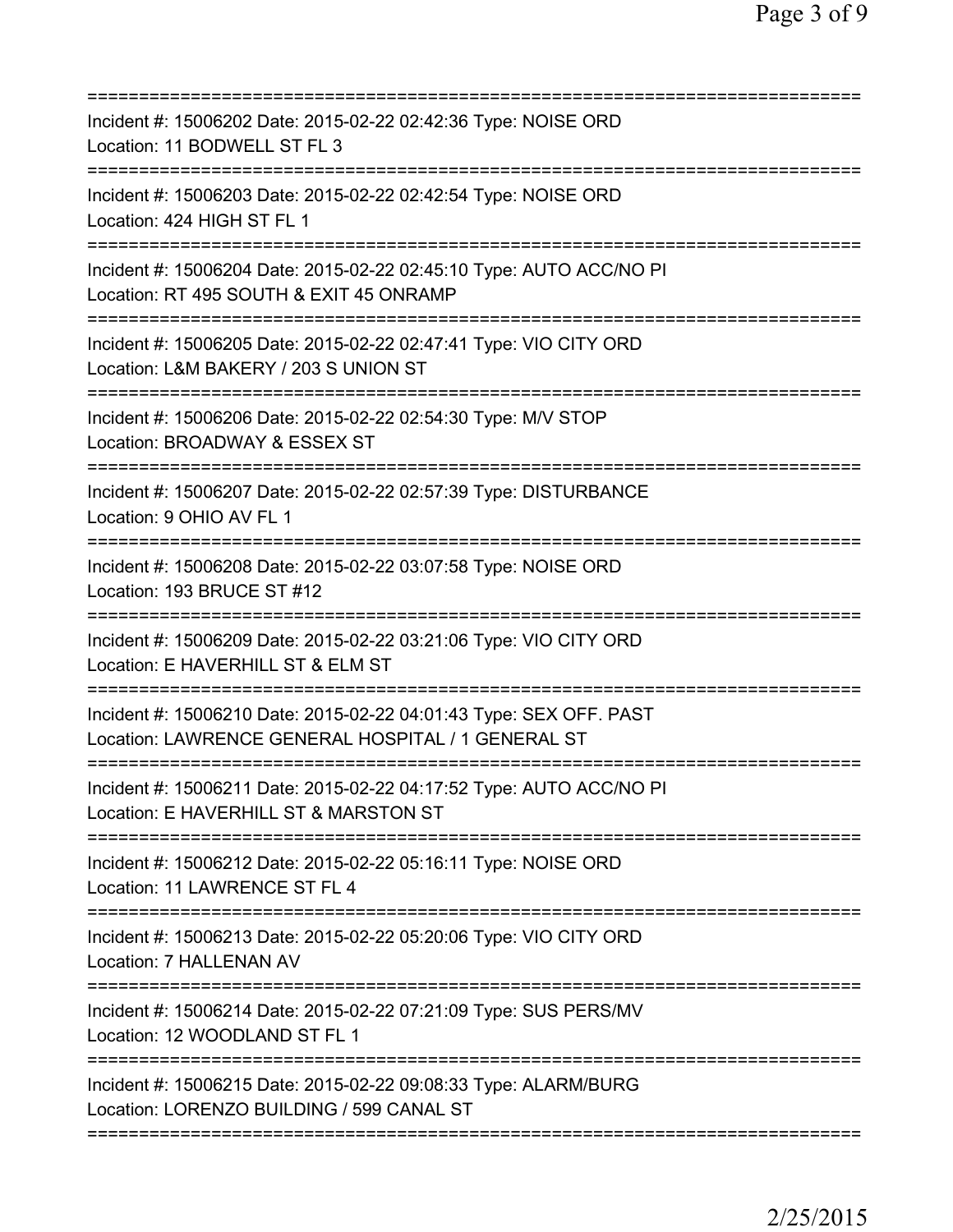| Incident #: 15006202 Date: 2015-02-22 02:42:36 Type: NOISE ORD<br>Location: 11 BODWELL ST FL 3                                                                           |
|--------------------------------------------------------------------------------------------------------------------------------------------------------------------------|
| Incident #: 15006203 Date: 2015-02-22 02:42:54 Type: NOISE ORD<br>Location: 424 HIGH ST FL 1                                                                             |
| Incident #: 15006204 Date: 2015-02-22 02:45:10 Type: AUTO ACC/NO PI<br>Location: RT 495 SOUTH & EXIT 45 ONRAMP<br>======================                                 |
| Incident #: 15006205 Date: 2015-02-22 02:47:41 Type: VIO CITY ORD<br>Location: L&M BAKERY / 203 S UNION ST<br>==========================                                 |
| Incident #: 15006206 Date: 2015-02-22 02:54:30 Type: M/V STOP<br>Location: BROADWAY & ESSEX ST                                                                           |
| Incident #: 15006207 Date: 2015-02-22 02:57:39 Type: DISTURBANCE<br>Location: 9 OHIO AV FL 1                                                                             |
| Incident #: 15006208 Date: 2015-02-22 03:07:58 Type: NOISE ORD<br>Location: 193 BRUCE ST #12                                                                             |
| ====================================<br>Incident #: 15006209 Date: 2015-02-22 03:21:06 Type: VIO CITY ORD<br>Location: E HAVERHILL ST & ELM ST<br>:===================== |
| Incident #: 15006210 Date: 2015-02-22 04:01:43 Type: SEX OFF. PAST<br>Location: LAWRENCE GENERAL HOSPITAL / 1 GENERAL ST                                                 |
| Incident #: 15006211 Date: 2015-02-22 04:17:52 Type: AUTO ACC/NO PI<br>Location: E HAVERHILL ST & MARSTON ST                                                             |
| Incident #: 15006212 Date: 2015-02-22 05:16:11 Type: NOISE ORD<br>Location: 11 LAWRENCE ST FL 4                                                                          |
| Incident #: 15006213 Date: 2015-02-22 05:20:06 Type: VIO CITY ORD<br>Location: 7 HALLENAN AV                                                                             |
| Incident #: 15006214 Date: 2015-02-22 07:21:09 Type: SUS PERS/MV<br>Location: 12 WOODLAND ST FL 1                                                                        |
| Incident #: 15006215 Date: 2015-02-22 09:08:33 Type: ALARM/BURG<br>Location: LORENZO BUILDING / 599 CANAL ST                                                             |
|                                                                                                                                                                          |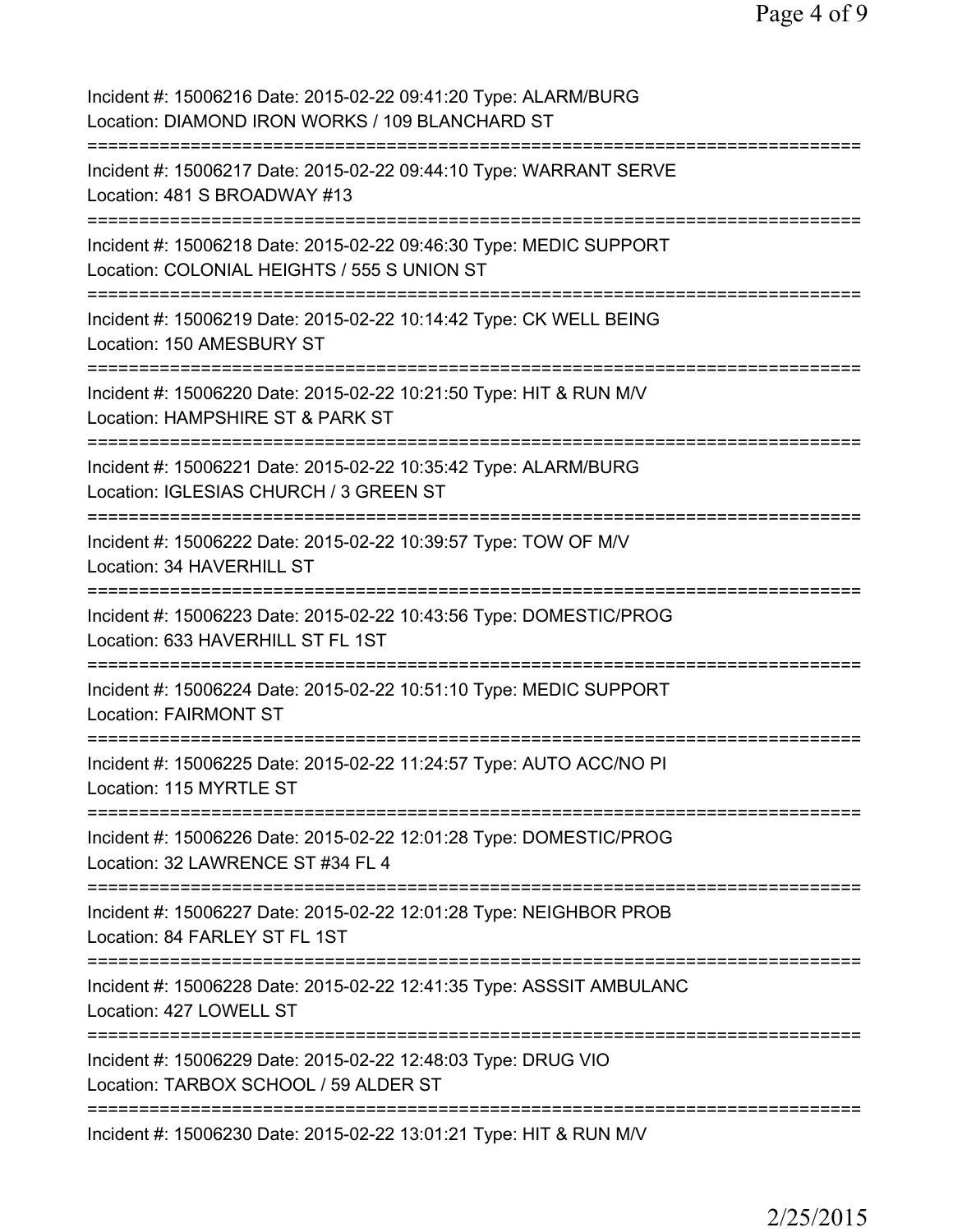| Incident #: 15006216 Date: 2015-02-22 09:41:20 Type: ALARM/BURG<br>Location: DIAMOND IRON WORKS / 109 BLANCHARD ST                |
|-----------------------------------------------------------------------------------------------------------------------------------|
| Incident #: 15006217 Date: 2015-02-22 09:44:10 Type: WARRANT SERVE<br>Location: 481 S BROADWAY #13                                |
| Incident #: 15006218 Date: 2015-02-22 09:46:30 Type: MEDIC SUPPORT<br>Location: COLONIAL HEIGHTS / 555 S UNION ST                 |
| Incident #: 15006219 Date: 2015-02-22 10:14:42 Type: CK WELL BEING<br>Location: 150 AMESBURY ST                                   |
| Incident #: 15006220 Date: 2015-02-22 10:21:50 Type: HIT & RUN M/V<br>Location: HAMPSHIRE ST & PARK ST                            |
| Incident #: 15006221 Date: 2015-02-22 10:35:42 Type: ALARM/BURG<br>Location: IGLESIAS CHURCH / 3 GREEN ST<br>;=================== |
| Incident #: 15006222 Date: 2015-02-22 10:39:57 Type: TOW OF M/V<br>Location: 34 HAVERHILL ST<br>===============================   |
| Incident #: 15006223 Date: 2015-02-22 10:43:56 Type: DOMESTIC/PROG<br>Location: 633 HAVERHILL ST FL 1ST<br>:===========           |
| Incident #: 15006224 Date: 2015-02-22 10:51:10 Type: MEDIC SUPPORT<br><b>Location: FAIRMONT ST</b>                                |
| Incident #: 15006225 Date: 2015-02-22 11:24:57 Type: AUTO ACC/NO PI<br>Location: 115 MYRTLE ST                                    |
| Incident #: 15006226 Date: 2015-02-22 12:01:28 Type: DOMESTIC/PROG<br>Location: 32 LAWRENCE ST #34 FL 4                           |
| Incident #: 15006227 Date: 2015-02-22 12:01:28 Type: NEIGHBOR PROB<br>Location: 84 FARLEY ST FL 1ST                               |
| Incident #: 15006228 Date: 2015-02-22 12:41:35 Type: ASSSIT AMBULANC<br>Location: 427 LOWELL ST                                   |
| Incident #: 15006229 Date: 2015-02-22 12:48:03 Type: DRUG VIO<br>Location: TARBOX SCHOOL / 59 ALDER ST                            |
| Incident #: 15006230 Date: 2015-02-22 13:01:21 Type: HIT & RUN M/V                                                                |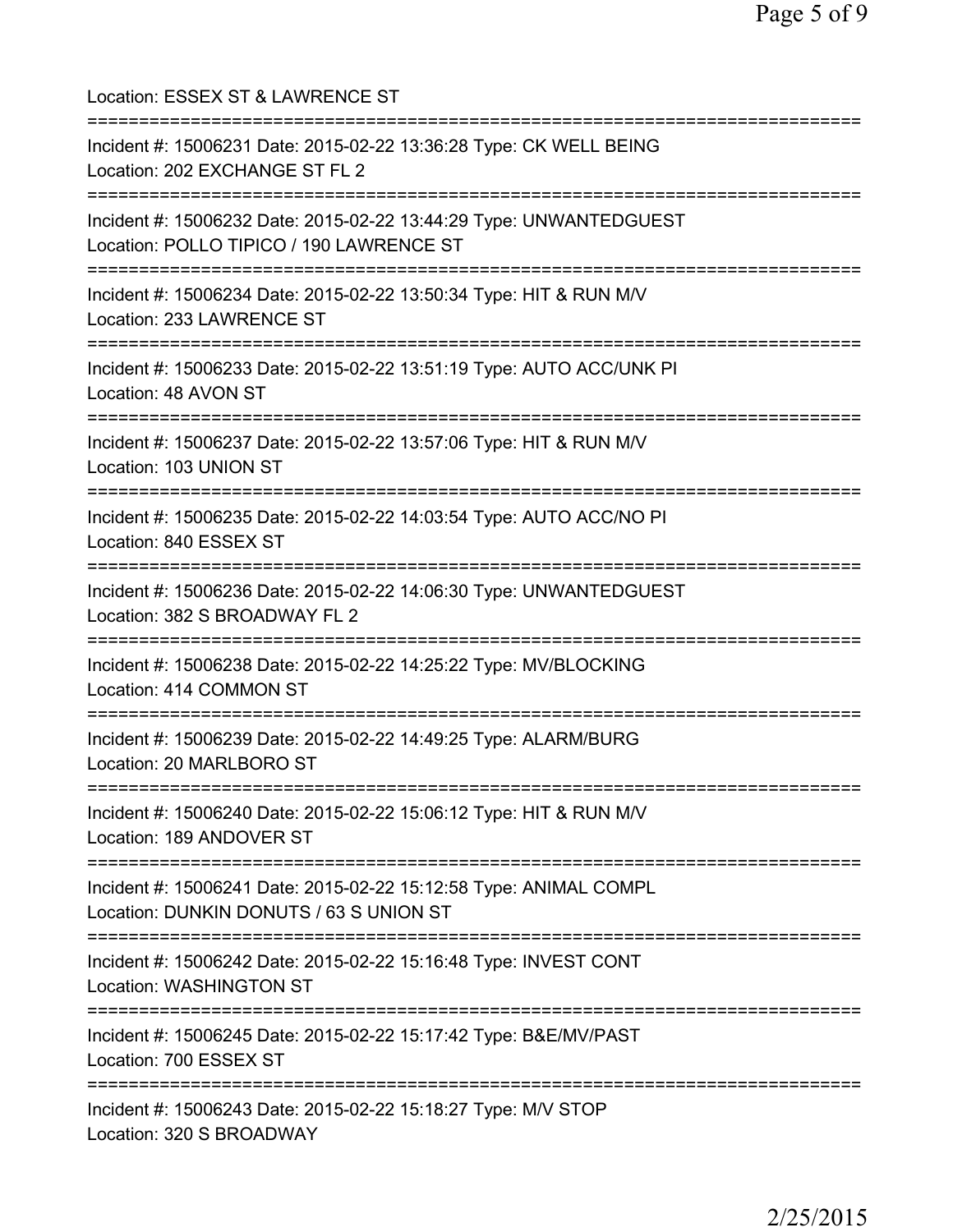| Location: ESSEX ST & LAWRENCE ST                                                                                                     |
|--------------------------------------------------------------------------------------------------------------------------------------|
| Incident #: 15006231 Date: 2015-02-22 13:36:28 Type: CK WELL BEING<br>Location: 202 EXCHANGE ST FL 2                                 |
| Incident #: 15006232 Date: 2015-02-22 13:44:29 Type: UNWANTEDGUEST<br>Location: POLLO TIPICO / 190 LAWRENCE ST                       |
| Incident #: 15006234 Date: 2015-02-22 13:50:34 Type: HIT & RUN M/V<br>Location: 233 LAWRENCE ST<br>;================================ |
| Incident #: 15006233 Date: 2015-02-22 13:51:19 Type: AUTO ACC/UNK PI<br>Location: 48 AVON ST<br>==================================   |
| Incident #: 15006237 Date: 2015-02-22 13:57:06 Type: HIT & RUN M/V<br>Location: 103 UNION ST<br>================================     |
| Incident #: 15006235 Date: 2015-02-22 14:03:54 Type: AUTO ACC/NO PI<br>Location: 840 ESSEX ST                                        |
| Incident #: 15006236 Date: 2015-02-22 14:06:30 Type: UNWANTEDGUEST<br>Location: 382 S BROADWAY FL 2                                  |
| Incident #: 15006238 Date: 2015-02-22 14:25:22 Type: MV/BLOCKING<br>Location: 414 COMMON ST                                          |
| Incident #: 15006239 Date: 2015-02-22 14:49:25 Type: ALARM/BURG<br>Location: 20 MARLBORO ST                                          |
| Incident #: 15006240 Date: 2015-02-22 15:06:12 Type: HIT & RUN M/V<br>Location: 189 ANDOVER ST                                       |
| Incident #: 15006241 Date: 2015-02-22 15:12:58 Type: ANIMAL COMPL<br>Location: DUNKIN DONUTS / 63 S UNION ST                         |
| Incident #: 15006242 Date: 2015-02-22 15:16:48 Type: INVEST CONT<br>Location: WASHINGTON ST                                          |
| ============================<br>Incident #: 15006245 Date: 2015-02-22 15:17:42 Type: B&E/MV/PAST<br>Location: 700 ESSEX ST           |
| ==================<br>Incident #: 15006243 Date: 2015-02-22 15:18:27 Type: M/V STOP<br>Location: 320 S BROADWAY                      |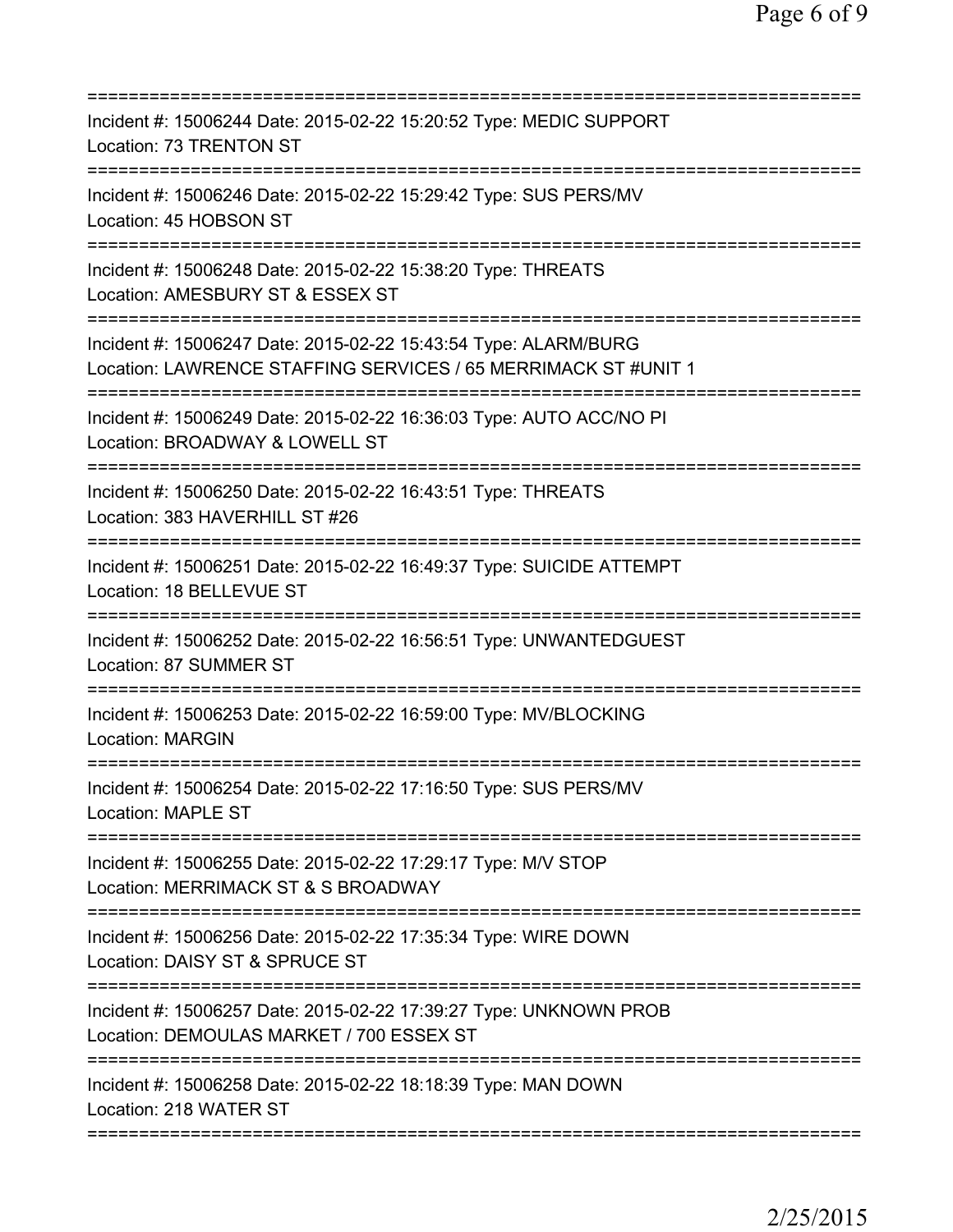| Incident #: 15006244 Date: 2015-02-22 15:20:52 Type: MEDIC SUPPORT<br>Location: 73 TRENTON ST<br>==================               |
|-----------------------------------------------------------------------------------------------------------------------------------|
| Incident #: 15006246 Date: 2015-02-22 15:29:42 Type: SUS PERS/MV<br>Location: 45 HOBSON ST                                        |
| Incident #: 15006248 Date: 2015-02-22 15:38:20 Type: THREATS<br>Location: AMESBURY ST & ESSEX ST                                  |
| Incident #: 15006247 Date: 2015-02-22 15:43:54 Type: ALARM/BURG<br>Location: LAWRENCE STAFFING SERVICES / 65 MERRIMACK ST #UNIT 1 |
| Incident #: 15006249 Date: 2015-02-22 16:36:03 Type: AUTO ACC/NO PI<br>Location: BROADWAY & LOWELL ST                             |
| ==========================<br>Incident #: 15006250 Date: 2015-02-22 16:43:51 Type: THREATS<br>Location: 383 HAVERHILL ST #26      |
| Incident #: 15006251 Date: 2015-02-22 16:49:37 Type: SUICIDE ATTEMPT<br>Location: 18 BELLEVUE ST                                  |
| Incident #: 15006252 Date: 2015-02-22 16:56:51 Type: UNWANTEDGUEST<br>Location: 87 SUMMER ST                                      |
| Incident #: 15006253 Date: 2015-02-22 16:59:00 Type: MV/BLOCKING<br><b>Location: MARGIN</b>                                       |
| Incident #: 15006254 Date: 2015-02-22 17:16:50 Type: SUS PERS/MV<br><b>Location: MAPLE ST</b>                                     |
| Incident #: 15006255 Date: 2015-02-22 17:29:17 Type: M/V STOP<br>Location: MERRIMACK ST & S BROADWAY                              |
| Incident #: 15006256 Date: 2015-02-22 17:35:34 Type: WIRE DOWN<br>Location: DAISY ST & SPRUCE ST                                  |
| Incident #: 15006257 Date: 2015-02-22 17:39:27 Type: UNKNOWN PROB<br>Location: DEMOULAS MARKET / 700 ESSEX ST                     |
| Incident #: 15006258 Date: 2015-02-22 18:18:39 Type: MAN DOWN<br>Location: 218 WATER ST                                           |
|                                                                                                                                   |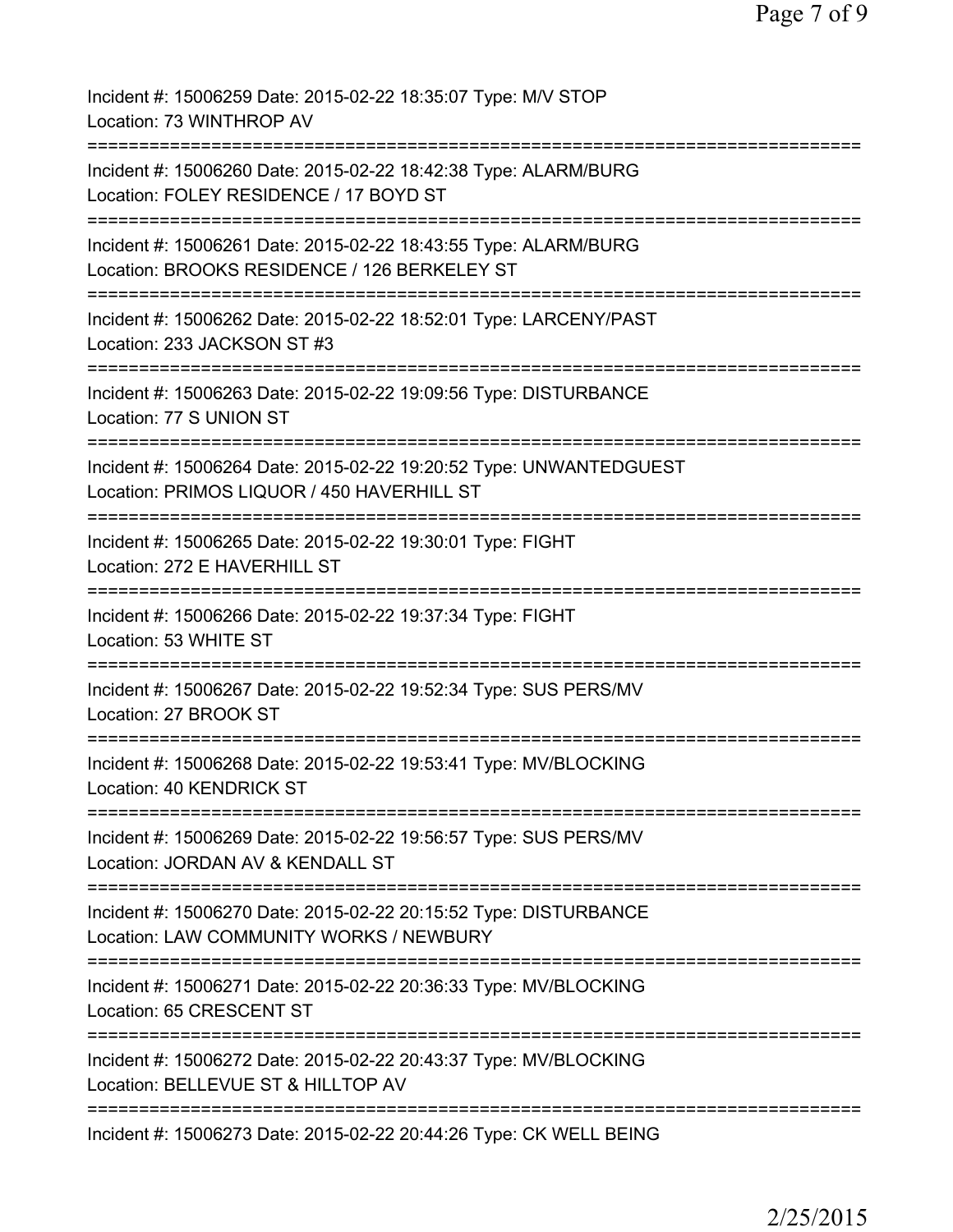| Incident #: 15006259 Date: 2015-02-22 18:35:07 Type: M/V STOP<br>Location: 73 WINTHROP AV                                 |
|---------------------------------------------------------------------------------------------------------------------------|
| Incident #: 15006260 Date: 2015-02-22 18:42:38 Type: ALARM/BURG<br>Location: FOLEY RESIDENCE / 17 BOYD ST                 |
| Incident #: 15006261 Date: 2015-02-22 18:43:55 Type: ALARM/BURG<br>Location: BROOKS RESIDENCE / 126 BERKELEY ST           |
| Incident #: 15006262 Date: 2015-02-22 18:52:01 Type: LARCENY/PAST<br>Location: 233 JACKSON ST #3                          |
| Incident #: 15006263 Date: 2015-02-22 19:09:56 Type: DISTURBANCE<br>Location: 77 S UNION ST                               |
| Incident #: 15006264 Date: 2015-02-22 19:20:52 Type: UNWANTEDGUEST<br>Location: PRIMOS LIQUOR / 450 HAVERHILL ST          |
| Incident #: 15006265 Date: 2015-02-22 19:30:01 Type: FIGHT<br>Location: 272 E HAVERHILL ST                                |
| Incident #: 15006266 Date: 2015-02-22 19:37:34 Type: FIGHT<br>Location: 53 WHITE ST                                       |
| ============================<br>Incident #: 15006267 Date: 2015-02-22 19:52:34 Type: SUS PERS/MV<br>Location: 27 BROOK ST |
| Incident #: 15006268 Date: 2015-02-22 19:53:41 Type: MV/BLOCKING<br>Location: 40 KENDRICK ST                              |
| Incident #: 15006269 Date: 2015-02-22 19:56:57 Type: SUS PERS/MV<br>Location: JORDAN AV & KENDALL ST                      |
| Incident #: 15006270 Date: 2015-02-22 20:15:52 Type: DISTURBANCE<br>Location: LAW COMMUNITY WORKS / NEWBURY               |
| Incident #: 15006271 Date: 2015-02-22 20:36:33 Type: MV/BLOCKING<br>Location: 65 CRESCENT ST                              |
| Incident #: 15006272 Date: 2015-02-22 20:43:37 Type: MV/BLOCKING<br>Location: BELLEVUE ST & HILLTOP AV                    |
| Incident #: 15006273 Date: 2015-02-22 20:44:26 Type: CK WELL BEING                                                        |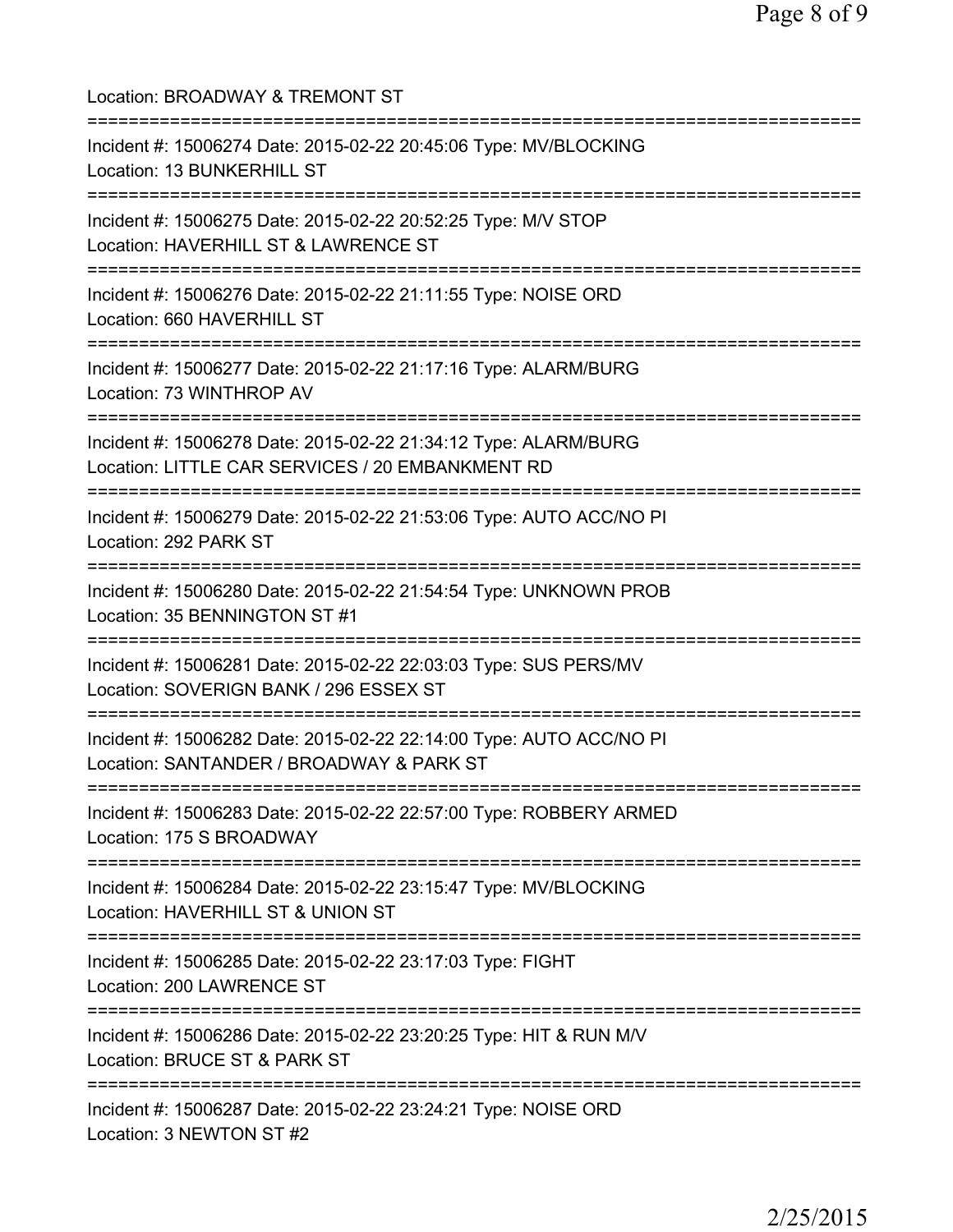| Location: BROADWAY & TREMONT ST<br>===============================                                                                                      |
|---------------------------------------------------------------------------------------------------------------------------------------------------------|
| Incident #: 15006274 Date: 2015-02-22 20:45:06 Type: MV/BLOCKING<br>Location: 13 BUNKERHILL ST<br>=================================                     |
| Incident #: 15006275 Date: 2015-02-22 20:52:25 Type: M/V STOP<br>Location: HAVERHILL ST & LAWRENCE ST<br>====================================           |
| Incident #: 15006276 Date: 2015-02-22 21:11:55 Type: NOISE ORD<br>Location: 660 HAVERHILL ST                                                            |
| Incident #: 15006277 Date: 2015-02-22 21:17:16 Type: ALARM/BURG<br>Location: 73 WINTHROP AV                                                             |
| Incident #: 15006278 Date: 2015-02-22 21:34:12 Type: ALARM/BURG<br>Location: LITTLE CAR SERVICES / 20 EMBANKMENT RD                                     |
| Incident #: 15006279 Date: 2015-02-22 21:53:06 Type: AUTO ACC/NO PI<br>Location: 292 PARK ST                                                            |
| Incident #: 15006280 Date: 2015-02-22 21:54:54 Type: UNKNOWN PROB<br>Location: 35 BENNINGTON ST #1                                                      |
| Incident #: 15006281 Date: 2015-02-22 22:03:03 Type: SUS PERS/MV<br>Location: SOVERIGN BANK / 296 ESSEX ST                                              |
| Incident #: 15006282 Date: 2015-02-22 22:14:00 Type: AUTO ACC/NO PI<br>Location: SANTANDER / BROADWAY & PARK ST<br>==================================== |
| Incident #: 15006283 Date: 2015-02-22 22:57:00 Type: ROBBERY ARMED<br>Location: 175 S BROADWAY                                                          |
| ===========================<br>Incident #: 15006284 Date: 2015-02-22 23:15:47 Type: MV/BLOCKING<br>Location: HAVERHILL ST & UNION ST                    |
| Incident #: 15006285 Date: 2015-02-22 23:17:03 Type: FIGHT<br>Location: 200 LAWRENCE ST                                                                 |
| Incident #: 15006286 Date: 2015-02-22 23:20:25 Type: HIT & RUN M/V<br>Location: BRUCE ST & PARK ST                                                      |
| Incident #: 15006287 Date: 2015-02-22 23:24:21 Type: NOISE ORD<br>Location: 3 NEWTON ST #2                                                              |